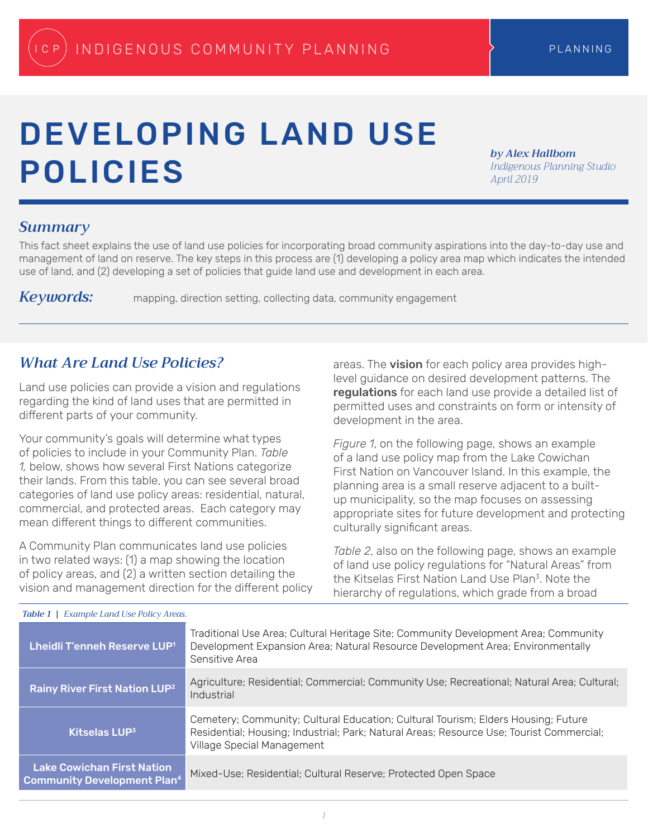# DEVELOPING LAND USE POLICIES

*by Alex Hallbom Indigenous Planning Studio April 2019*

#### *Summary*

This fact sheet explains the use of land use policies for incorporating broad community aspirations into the day-to-day use and management of land on reserve. The key steps in this process are (1) developing a policy area map which indicates the intended use of land, and (2) developing a set of policies that guide land use and development in each area.

*Keywords:* mapping, direction setting, collecting data, community engagement

#### *What Are Land Use Policies?*

Land use policies can provide a vision and regulations regarding the kind of land uses that are permitted in different parts of your community.

Your community's goals will determine what types of policies to include in your Community Plan. *Table 1,* below, shows how several First Nations categorize their lands. From this table, you can see several broad categories of land use policy areas: residential, natural, commercial, and protected areas. Each category may mean different things to different communities.

A Community Plan communicates land use policies in two related ways: (1) a map showing the location of policy areas, and (2) a written section detailing the vision and management direction for the different policy areas. The vision for each policy area provides highlevel guidance on desired development patterns. The regulations for each land use provide a detailed list of permitted uses and constraints on form or intensity of development in the area.

*Figure 1*, on the following page, shows an example of a land use policy map from the Lake Cowichan First Nation on Vancouver Island. In this example, the planning area is a small reserve adjacent to a builtup municipality, so the map focuses on assessing appropriate sites for future development and protecting culturally significant areas.

*Table 2*, also on the following page, shows an example of land use policy regulations for "Natural Areas" from the Kitselas First Nation Land Use Plan3. Note the hierarchy of regulations, which grade from a broad

| Lheidli T'enneh Reserve LUP <sup>1</sup>                                | Traditional Use Area; Cultural Heritage Site; Community Development Area; Community<br>Development Expansion Area; Natural Resource Development Area; Environmentally<br>Sensitive Area                     |
|-------------------------------------------------------------------------|-------------------------------------------------------------------------------------------------------------------------------------------------------------------------------------------------------------|
| Rainy River First Nation LUP <sup>2</sup>                               | Agriculture; Residential; Commercial; Community Use; Recreational; Natural Area; Cultural;<br>Industrial                                                                                                    |
| Kitselas LUP <sup>3</sup>                                               | Cemetery; Community; Cultural Education; Cultural Tourism; Elders Housing; Future<br>Residential; Housing; Industrial; Park; Natural Areas; Resource Use; Tourist Commercial;<br>Village Special Management |
| <b>Lake Cowichan First Nation</b><br><b>Community Development Plan4</b> | Mixed-Use; Residential; Cultural Reserve; Protected Open Space                                                                                                                                              |

#### *Table 1 | Example Land Use Policy Areas.*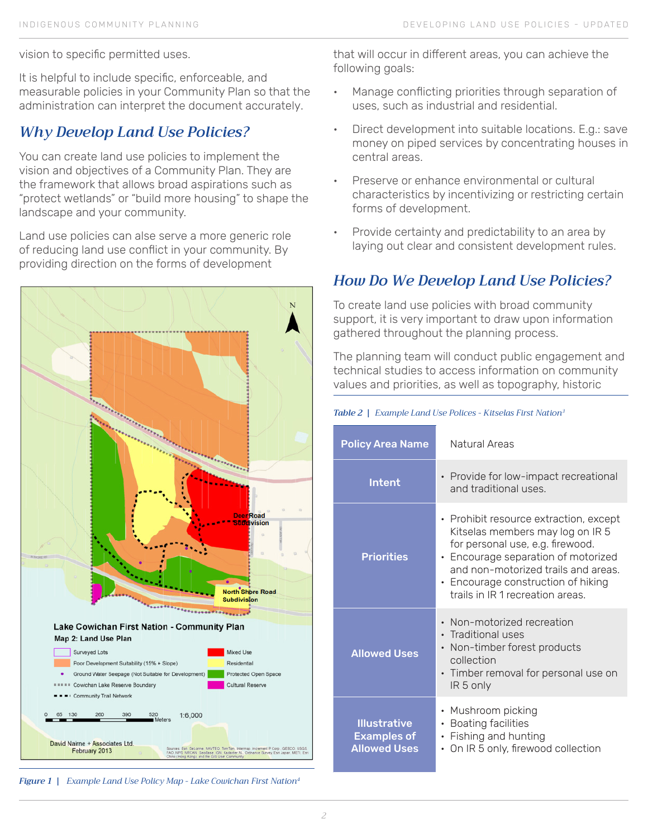vision to specific permitted uses.

It is helpful to include specific, enforceable, and measurable policies in your Community Plan so that the administration can interpret the document accurately.

## *Why Develop Land Use Policies?*

You can create land use policies to implement the vision and objectives of a Community Plan. They are the framework that allows broad aspirations such as "protect wetlands" or "build more housing" to shape the landscape and your community.

Land use policies can alse serve a more generic role of reducing land use conflict in your community. By providing direction on the forms of development



*Figure 1 | Example Land Use Policy Map - Lake Cowichan First Nation4*

that will occur in different areas, you can achieve the following goals:

- Manage conflicting priorities through separation of uses, such as industrial and residential.
- Direct development into suitable locations. E.g.: save money on piped services by concentrating houses in central areas.
- Preserve or enhance environmental or cultural characteristics by incentivizing or restricting certain forms of development.
- Provide certainty and predictability to an area by laying out clear and consistent development rules.

## *How Do We Develop Land Use Policies?*

To create land use policies with broad community support, it is very important to draw upon information gathered throughout the planning process.

The planning team will conduct public engagement and technical studies to access information on community values and priorities, as well as topography, historic

#### *Table 2 | Example Land Use Polices - Kitselas First Nation3*

| <b>Policy Area Name</b>                                          | Natural Areas                                                                                                                                                                                                                                                                     |
|------------------------------------------------------------------|-----------------------------------------------------------------------------------------------------------------------------------------------------------------------------------------------------------------------------------------------------------------------------------|
| <b>Intent</b>                                                    | • Provide for low-impact recreational<br>and traditional uses.                                                                                                                                                                                                                    |
| <b>Priorities</b>                                                | • Prohibit resource extraction, except<br>Kitselas members may log on IR 5<br>for personal use, e.g. firewood.<br>• Encourage separation of motorized<br>and non-motorized trails and areas.<br>Encourage construction of hiking<br>$\bullet$<br>trails in IR 1 recreation areas. |
| <b>Allowed Uses</b>                                              | Non-motorized recreation<br>$\bullet$<br>• Traditional uses<br>Non-timber forest products<br>$\bullet$<br>collection<br>• Timber removal for personal use on<br>IR 5 only                                                                                                         |
| <b>Illustrative</b><br><b>Examples of</b><br><b>Allowed Uses</b> | Mushroom picking<br>$\bullet$<br><b>Boating facilities</b><br>Fishing and hunting<br>$\bullet$<br>On IR 5 only, firewood collection<br>٠                                                                                                                                          |